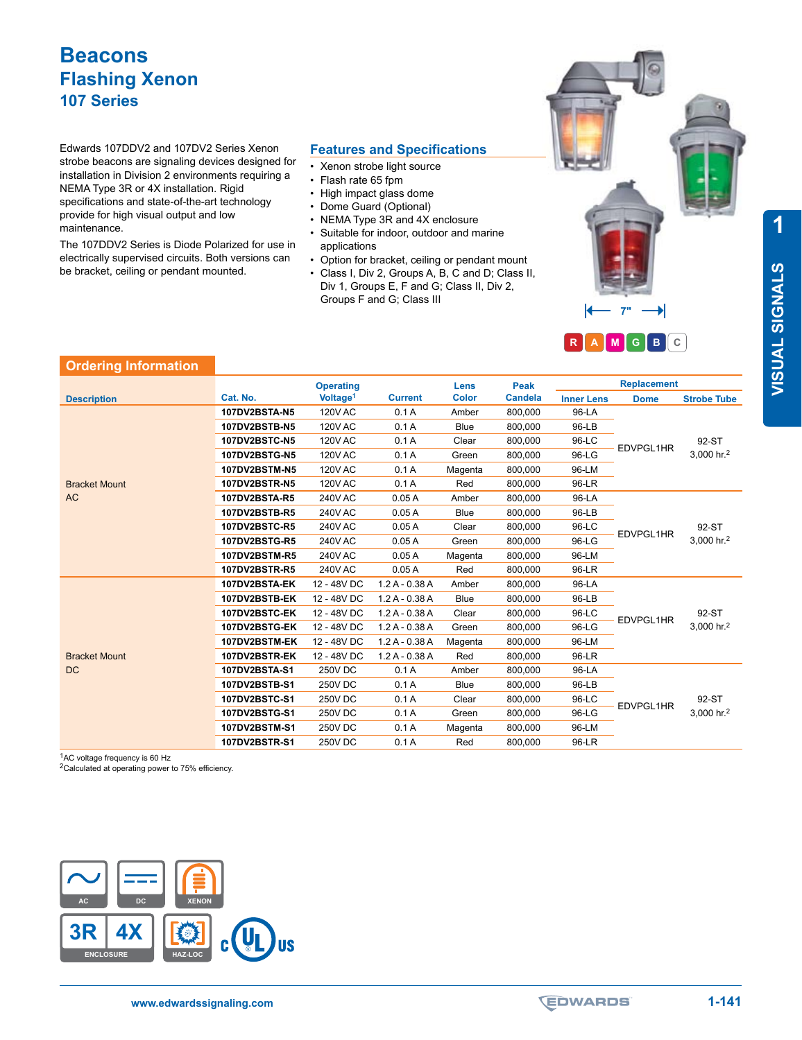Edwards 107DDV2 and 107DV2 Series Xenon strobe beacons are signaling devices designed for installation in Division 2 environments requiring a NEMA Type 3R or 4X installation. Rigid specifications and state-of-the-art technology provide for high visual output and low maintenance.

The 107DDV2 Series is Diode Polarized for use in electrically supervised circuits. Both versions can be bracket, ceiling or pendant mounted.

#### **Features and Specifications**

- Xenon strobe light source<br>• Flash rate 65 fom
- Flash rate 65 fpm
- 
- High impact glass dome<br>• Dome Guard (Optional)
- Dome Guard (Optional)<br>• NEMA Type 3R and 4X NEMA Type 3R and 4X enclosure
- Suitable for indoor, outdoor and marine applications
- Option for bracket, ceiling or pendant mount
- Class I, Div 2, Groups A, B, C and D; Class Div 1, Groups E, F and G; Class II, Div 2, Groups F and G; Class III

| II, |                       |
|-----|-----------------------|
|     | $\blacktriangleright$ |
|     | RAMGBC                |

### **Ordering Information**

|                      |                      | <b>Operating</b>     |                | Lens         | <b>Peak</b>    |                   | <b>Replacement</b> |                                 |
|----------------------|----------------------|----------------------|----------------|--------------|----------------|-------------------|--------------------|---------------------------------|
| <b>Description</b>   | Cat. No.             | Voltage <sup>1</sup> | <b>Current</b> | <b>Color</b> | <b>Candela</b> | <b>Inner Lens</b> | <b>Dome</b>        | <b>Strobe Tube</b>              |
|                      | 107DV2BSTA-N5        | <b>120V AC</b>       | 0.1A           | Amber        | 800,000        | 96-LA             | EDVPGL1HR          | 92-ST<br>3,000 hr. <sup>2</sup> |
|                      | 107DV2BSTB-N5        | <b>120V AC</b>       | 0.1A           | <b>Blue</b>  | 800,000        | 96-LB             |                    |                                 |
|                      | <b>107DV2BSTC-N5</b> | <b>120V AC</b>       | 0.1A           | Clear        | 800,000        | 96-LC             |                    |                                 |
|                      | 107DV2BSTG-N5        | <b>120V AC</b>       | 0.1A           | Green        | 800,000        | 96-LG             |                    |                                 |
|                      | <b>107DV2BSTM-N5</b> | <b>120V AC</b>       | 0.1A           | Magenta      | 800,000        | 96-LM             |                    |                                 |
| <b>Bracket Mount</b> | <b>107DV2BSTR-N5</b> | <b>120V AC</b>       | 0.1A           | Red          | 800,000        | 96-LR             |                    |                                 |
| AC                   | 107DV2BSTA-R5        | <b>240V AC</b>       | 0.05A          | Amber        | 800,000        | 96-LA             |                    |                                 |
|                      | 107DV2BSTB-R5        | <b>240V AC</b>       | 0.05A          | <b>Blue</b>  | 800,000        | 96-LB             |                    |                                 |
|                      | 107DV2BSTC-R5        | <b>240V AC</b>       | 0.05A          | Clear        | 800,000        | 96-LC             | EDVPGL1HR          | 92-ST                           |
|                      | 107DV2BSTG-R5        | <b>240V AC</b>       | 0.05A          | Green        | 800,000        | 96-LG             |                    | 3,000 hr. <sup>2</sup>          |
|                      | 107DV2BSTM-R5        | <b>240V AC</b>       | 0.05A          | Magenta      | 800,000        | 96-LM             |                    |                                 |
|                      | <b>107DV2BSTR-R5</b> | <b>240V AC</b>       | 0.05A          | Red          | 800,000        | 96-LR             |                    |                                 |
|                      | 107DV2BSTA-EK        | 12 - 48V DC          | $1.2A - 0.38A$ | Amber        | 800,000        | 96-LA             |                    |                                 |
|                      | 107DV2BSTB-EK        | 12 - 48V DC          | $1.2A - 0.38A$ | <b>Blue</b>  | 800,000        | 96-LB             |                    |                                 |
|                      | 107DV2BSTC-EK        | 12 - 48V DC          | $1.2A - 0.38A$ | Clear        | 800,000        | 96-LC             | EDVPGL1HR          | 92-ST                           |
|                      | 107DV2BSTG-EK        | 12 - 48V DC          | $1.2A - 0.38A$ | Green        | 800,000        | 96-LG             |                    | 3,000 hr. <sup>2</sup>          |
|                      | 107DV2BSTM-EK        | 12 - 48V DC          | $1.2A - 0.38A$ | Magenta      | 800,000        | 96-LM             |                    |                                 |
| <b>Bracket Mount</b> | 107DV2BSTR-EK        | 12 - 48V DC          | $1.2A - 0.38A$ | Red          | 800,000        | 96-LR             |                    |                                 |
| <b>DC</b>            | 107DV2BSTA-S1        | <b>250V DC</b>       | 0.1A           | Amber        | 800,000        | 96-LA             |                    |                                 |
|                      | 107DV2BSTB-S1        | <b>250V DC</b>       | 0.1A           | <b>Blue</b>  | 800,000        | 96-LB             |                    |                                 |
|                      | 107DV2BSTC-S1        | <b>250V DC</b>       | 0.1A           | Clear        | 800,000        | 96-LC             | EDVPGL1HR          | 92-ST                           |
|                      | 107DV2BSTG-S1        | <b>250V DC</b>       | 0.1A           | Green        | 800,000        | 96-LG             |                    | 3,000 hr. <sup>2</sup>          |
|                      | 107DV2BSTM-S1        | 250V DC              | 0.1A           | Magenta      | 800,000        | 96-LM             |                    |                                 |
|                      | 107DV2BSTR-S1        | 250V DC              | 0.1A           | Red          | 800,000        | 96-LR             |                    |                                 |

1AC voltage frequency is 60 Hz

<sup>2</sup>Calculated at operating power to 75% efficiency.



**1**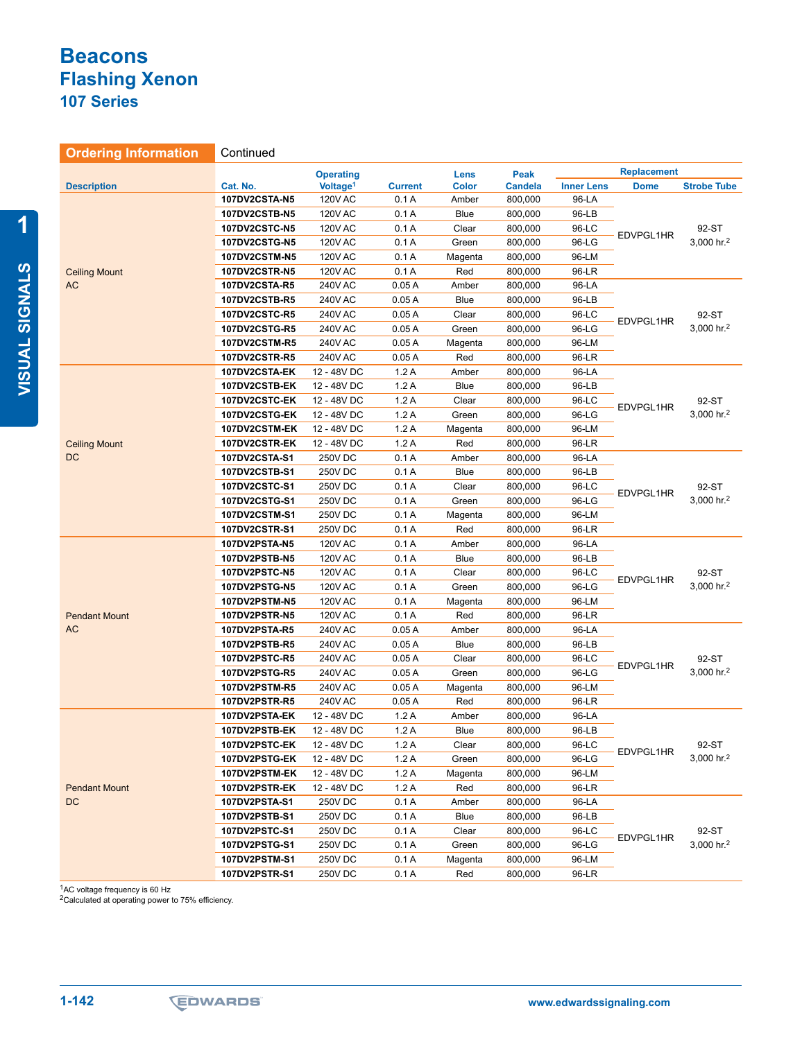### **Ordering Information** Continued

|                      |                      | <b>Operating</b>     |                | Lens         | Peak           |                   | <b>Replacement</b> |                                 |
|----------------------|----------------------|----------------------|----------------|--------------|----------------|-------------------|--------------------|---------------------------------|
| <b>Description</b>   | Cat. No.             | Voltage <sup>1</sup> | <b>Current</b> | <b>Color</b> | <b>Candela</b> | <b>Inner Lens</b> | <b>Dome</b>        | <b>Strobe Tube</b>              |
|                      | 107DV2CSTA-N5        | <b>120V AC</b>       | 0.1A           | Amber        | 800,000        | 96-LA             |                    |                                 |
|                      | 107DV2CSTB-N5        | <b>120V AC</b>       | 0.1A           | <b>Blue</b>  | 800,000        | 96-LB             | EDVPGL1HR          |                                 |
|                      | <b>107DV2CSTC-N5</b> | <b>120V AC</b>       | 0.1A           | Clear        | 800,000        | 96-LC             |                    | 92-ST<br>3,000 hr. <sup>2</sup> |
|                      | <b>107DV2CSTG-N5</b> | <b>120V AC</b>       | 0.1A           | Green        | 800,000        | 96-LG             |                    |                                 |
|                      | <b>107DV2CSTM-N5</b> | <b>120V AC</b>       | 0.1A           | Magenta      | 800,000        | 96-LM             |                    |                                 |
| <b>Ceiling Mount</b> | <b>107DV2CSTR-N5</b> | <b>120V AC</b>       | 0.1A           | Red          | 800,000        | 96-LR             |                    |                                 |
| AC                   | 107DV2CSTA-R5        | 240V AC              | 0.05A          | Amber        | 800,000        | 96-LA             |                    |                                 |
|                      | 107DV2CSTB-R5        | 240V AC              | 0.05A          | <b>Blue</b>  | 800,000        | 96-LB             | EDVPGL1HR          | 92-ST<br>3,000 hr. <sup>2</sup> |
|                      | 107DV2CSTC-R5        | <b>240V AC</b>       | 0.05A          | Clear        | 800,000        | 96-LC             |                    |                                 |
|                      | 107DV2CSTG-R5        | 240V AC              | 0.05A          | Green        | 800,000        | 96-LG             |                    |                                 |
|                      | 107DV2CSTM-R5        | <b>240V AC</b>       | 0.05A          | Magenta      | 800,000        | 96-LM             |                    |                                 |
|                      | 107DV2CSTR-R5        | <b>240V AC</b>       | 0.05A          | Red          | 800,000        | 96-LR             |                    |                                 |
|                      | 107DV2CSTA-EK        | 12 - 48V DC          | 1.2A           | Amber        | 800,000        | 96-LA             |                    |                                 |
|                      | 107DV2CSTB-EK        | 12 - 48V DC          | 1.2A           | <b>Blue</b>  | 800,000        | 96-LB             |                    |                                 |
|                      | 107DV2CSTC-EK        | 12 - 48V DC          | 1.2A           | Clear        | 800,000        | 96-LC             |                    | 92-ST                           |
|                      | 107DV2CSTG-EK        | 12 - 48V DC          | 1.2A           | Green        | 800,000        | 96-LG             | EDVPGL1HR          | 3,000 hr. <sup>2</sup>          |
|                      | 107DV2CSTM-EK        | 12 - 48V DC          | 1.2A           | Magenta      | 800,000        | 96-LM             |                    |                                 |
| <b>Ceiling Mount</b> | 107DV2CSTR-EK        | 12 - 48V DC          | 1.2A           | Red          | 800,000        | 96-LR             |                    |                                 |
| DC                   | 107DV2CSTA-S1        | 250V DC              | 0.1A           | Amber        | 800,000        | 96-LA             |                    |                                 |
|                      | 107DV2CSTB-S1        | <b>250V DC</b>       | 0.1A           | <b>Blue</b>  | 800,000        | 96-LB             |                    | 92-ST<br>3,000 hr. <sup>2</sup> |
|                      | 107DV2CSTC-S1        | 250V DC              | 0.1A           | Clear        | 800,000        | 96-LC             |                    |                                 |
|                      | 107DV2CSTG-S1        | 250V DC              | 0.1A           | Green        | 800,000        | 96-LG             | EDVPGL1HR          |                                 |
|                      | <b>107DV2CSTM-S1</b> | 250V DC              | 0.1A           | Magenta      | 800,000        | 96-LM             |                    |                                 |
|                      | 107DV2CSTR-S1        | 250V DC              | 0.1A           | Red          | 800,000        | 96-LR             |                    |                                 |
|                      | 107DV2PSTA-N5        | <b>120V AC</b>       | 0.1A           | Amber        | 800,000        | 96-LA             |                    | 92-ST<br>3,000 hr. <sup>2</sup> |
|                      | 107DV2PSTB-N5        | <b>120V AC</b>       | 0.1A           | <b>Blue</b>  | 800,000        | 96-LB             |                    |                                 |
|                      | 107DV2PSTC-N5        | <b>120V AC</b>       | 0.1A           | Clear        | 800,000        | 96-LC             |                    |                                 |
|                      | 107DV2PSTG-N5        | <b>120V AC</b>       | 0.1A           | Green        | 800,000        | 96-LG             | EDVPGL1HR          |                                 |
|                      | 107DV2PSTM-N5        | <b>120V AC</b>       | 0.1A           | Magenta      | 800,000        | 96-LM             |                    |                                 |
| <b>Pendant Mount</b> | 107DV2PSTR-N5        | <b>120V AC</b>       | 0.1A           | Red          | 800,000        | 96-LR             |                    |                                 |
| AC                   | 107DV2PSTA-R5        | 240V AC              | 0.05A          | Amber        | 800,000        | 96-LA             |                    | 92-ST<br>3,000 hr. <sup>2</sup> |
|                      | 107DV2PSTB-R5        | 240V AC              | 0.05A          | <b>Blue</b>  | 800,000        | 96-LB             |                    |                                 |
|                      | 107DV2PSTC-R5        | <b>240V AC</b>       | 0.05A          | Clear        | 800,000        | 96-LC             |                    |                                 |
|                      | 107DV2PSTG-R5        | <b>240V AC</b>       | 0.05A          | Green        | 800,000        | 96-LG             | EDVPGL1HR          |                                 |
|                      | 107DV2PSTM-R5        | <b>240V AC</b>       | 0.05A          | Magenta      | 800,000        | 96-LM             |                    |                                 |
|                      | 107DV2PSTR-R5        | <b>240V AC</b>       | 0.05A          | Red          | 800,000        | 96-LR             |                    |                                 |
|                      | 107DV2PSTA-EK        | 12 - 48V DC          | 1.2A           | Amber        | 800,000        | 96-LA             |                    |                                 |
|                      | 107DV2PSTB-EK        | 12 - 48V DC          | 1.2A           | <b>Blue</b>  | 800,000        | 96-LB             |                    | 92-ST                           |
|                      | 107DV2PSTC-EK        | 12 - 48V DC          | 1.2A           | Clear        | 800,000        | 96-LC             | EDVPGL1HR          |                                 |
|                      | 107DV2PSTG-EK        | 12 - 48V DC          | 1.2A           | Green        | 800,000        | 96-LG             |                    | 3,000 hr. <sup>2</sup>          |
|                      | 107DV2PSTM-EK        | 12 - 48V DC          | 1.2A           | Magenta      | 800,000        | 96-LM             |                    |                                 |
| <b>Pendant Mount</b> | 107DV2PSTR-EK        | 12 - 48V DC          | 1.2A           | Red          | 800,000        | 96-LR             |                    |                                 |
| <b>DC</b>            | 107DV2PSTA-S1        | 250V DC              | 0.1A           | Amber        | 800,000        | 96-LA             |                    |                                 |
|                      | 107DV2PSTB-S1        | 250V DC              | 0.1A           | Blue         | 800,000        | 96-LB             |                    |                                 |
|                      | 107DV2PSTC-S1        | <b>250V DC</b>       | 0.1A           | Clear        | 800,000        | 96-LC             | EDVPGL1HR          | 92-ST                           |
|                      | 107DV2PSTG-S1        | <b>250V DC</b>       | 0.1A           | Green        | 800,000        | 96-LG             |                    | 3,000 hr. <sup>2</sup>          |
|                      | 107DV2PSTM-S1        | 250V DC              | 0.1A           | Magenta      | 800,000        | 96-LM             |                    |                                 |
|                      | 107DV2PSTR-S1        | 250V DC              | 0.1A           | Red          | 800,000        | 96-LR             |                    |                                 |

1AC voltage frequency is 60 Hz

<sup>2</sup>Calculated at operating power to 75% efficiency.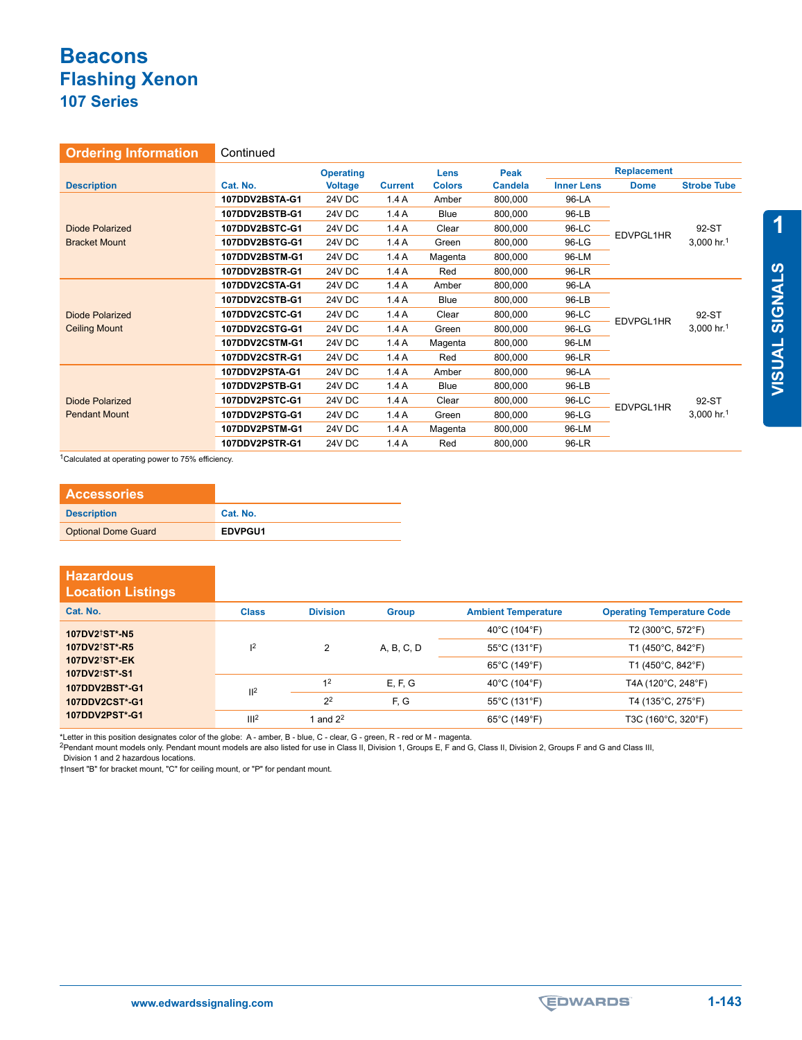| <b>Ordering Information</b> | Continued      |                  |                |               |                |                   |                    |                                 |
|-----------------------------|----------------|------------------|----------------|---------------|----------------|-------------------|--------------------|---------------------------------|
|                             |                | <b>Operating</b> |                | <b>Lens</b>   | Peak           |                   | <b>Replacement</b> |                                 |
| <b>Description</b>          | Cat. No.       | <b>Voltage</b>   | <b>Current</b> | <b>Colors</b> | <b>Candela</b> | <b>Inner Lens</b> | <b>Dome</b>        | <b>Strobe Tube</b>              |
|                             | 107DDV2BSTA-G1 | 24V DC           | 1.4A           | Amber         | 800,000        | 96-LA             |                    |                                 |
|                             | 107DDV2BSTB-G1 | 24V DC           | 1.4A           | Blue          | 800,000        | 96-LB             |                    | 92-ST                           |
| <b>Diode Polarized</b>      | 107DDV2BSTC-G1 | 24V DC           | 1.4A           | Clear         | 800,000        | 96-LC             |                    |                                 |
| <b>Bracket Mount</b>        | 107DDV2BSTG-G1 | 24V DC           | 1.4A           | Green         | 800,000        | 96-LG             | EDVPGL1HR          | 3,000 hr.1                      |
|                             | 107DDV2BSTM-G1 | 24V DC           | 1.4A           | Magenta       | 800,000        | 96-LM             |                    |                                 |
|                             | 107DDV2BSTR-G1 | 24V DC           | 1.4A           | Red           | 800,000        | 96-LR             |                    |                                 |
|                             | 107DDV2CSTA-G1 | <b>24V DC</b>    | 1.4A           | Amber         | 800,000        | 96-LA             | EDVPGL1HR          | 92-ST<br>3,000 hr. <sup>1</sup> |
|                             | 107DDV2CSTB-G1 | 24V DC           | 1.4A           | <b>Blue</b>   | 800,000        | 96-LB             |                    |                                 |
| <b>Diode Polarized</b>      | 107DDV2CSTC-G1 | 24V DC           | 1.4A           | Clear         | 800,000        | 96-LC             |                    |                                 |
| <b>Ceiling Mount</b>        | 107DDV2CSTG-G1 | 24V DC           | 1.4A           | Green         | 800,000        | 96-LG             |                    |                                 |
|                             | 107DDV2CSTM-G1 | 24V DC           | 1.4A           | Magenta       | 800,000        | 96-LM             |                    |                                 |
|                             | 107DDV2CSTR-G1 | 24V DC           | 1.4A           | Red           | 800,000        | 96-LR             |                    |                                 |
|                             | 107DDV2PSTA-G1 | <b>24V DC</b>    | 1.4A           | Amber         | 800,000        | 96-LA             |                    |                                 |
|                             | 107DDV2PSTB-G1 | 24V DC           | 1.4A           | Blue          | 800,000        | 96-LB             |                    |                                 |
| Diode Polarized             | 107DDV2PSTC-G1 | 24V DC           | 1.4A           | Clear         | 800,000        | 96-LC             | EDVPGL1HR          | 92-ST                           |
| <b>Pendant Mount</b>        | 107DDV2PSTG-G1 | 24V DC           | 1.4A           | Green         | 800,000        | 96-LG             |                    | 3,000 hr. <sup>1</sup>          |
|                             | 107DDV2PSTM-G1 | 24V DC           | 1.4A           | Magenta       | 800,000        | 96-LM             |                    |                                 |
|                             | 107DDV2PSTR-G1 | 24V DC           | 1.4A           | Red           | 800,000        | 96-LR             |                    |                                 |

<sup>1</sup>Calculated at operating power to 75% efficiency.

| <b>Accessories</b>         |          |
|----------------------------|----------|
| <b>Description</b>         | Cat. No. |
| <b>Optional Dome Guard</b> | EDVPGU1  |

| <b>Hazardous</b><br><b>Location Listings</b>             |                  |                 |              |                            |                                   |
|----------------------------------------------------------|------------------|-----------------|--------------|----------------------------|-----------------------------------|
| Cat. No.                                                 | <b>Class</b>     | <b>Division</b> | <b>Group</b> | <b>Ambient Temperature</b> | <b>Operating Temperature Code</b> |
| 107DV2 <sup>†</sup> ST*-N5                               |                  |                 |              | 40°C (104°F)               | T2 (300°C, 572°F)                 |
| 107DV2 <sup>†</sup> ST <sup>*</sup> -R5                  | 2                | 2               | A, B, C, D   | 55°C (131°F)               | T1 (450°C, 842°F)                 |
| 107DV2 <sup>+</sup> ST*-EK<br>107DV2 <sup>†</sup> ST*-S1 |                  |                 |              | 65°C (149°F)               | T1 (450°C, 842°F)                 |
| 107DDV2BST*-G1                                           | II <sup>2</sup>  | 1 <sup>2</sup>  | E, F, G      | 40°C (104°F)               | T4A (120°C, 248°F)                |
| 107DDV2CST*-G1                                           |                  | 2 <sup>2</sup>  | F, G         | 55°C (131°F)               | T4 (135°C, 275°F)                 |
| 107DDV2PST*-G1                                           | III <sup>2</sup> | 1 and $2^2$     |              | 65°C (149°F)               | T3C (160°C, 320°F)                |

\*Letter in this position designates color of the globe: A - amber, B - blue, C - clear, G - green, R - red or M - magenta.<br><sup>2</sup>Pendant mount models only. Pendant mount models are also listed for use in Class II, Division E,

Division 1 and 2 hazardous locations.

†Insert "B" for bracket mount, "C" for ceiling mount, or "P" for pendant mount.